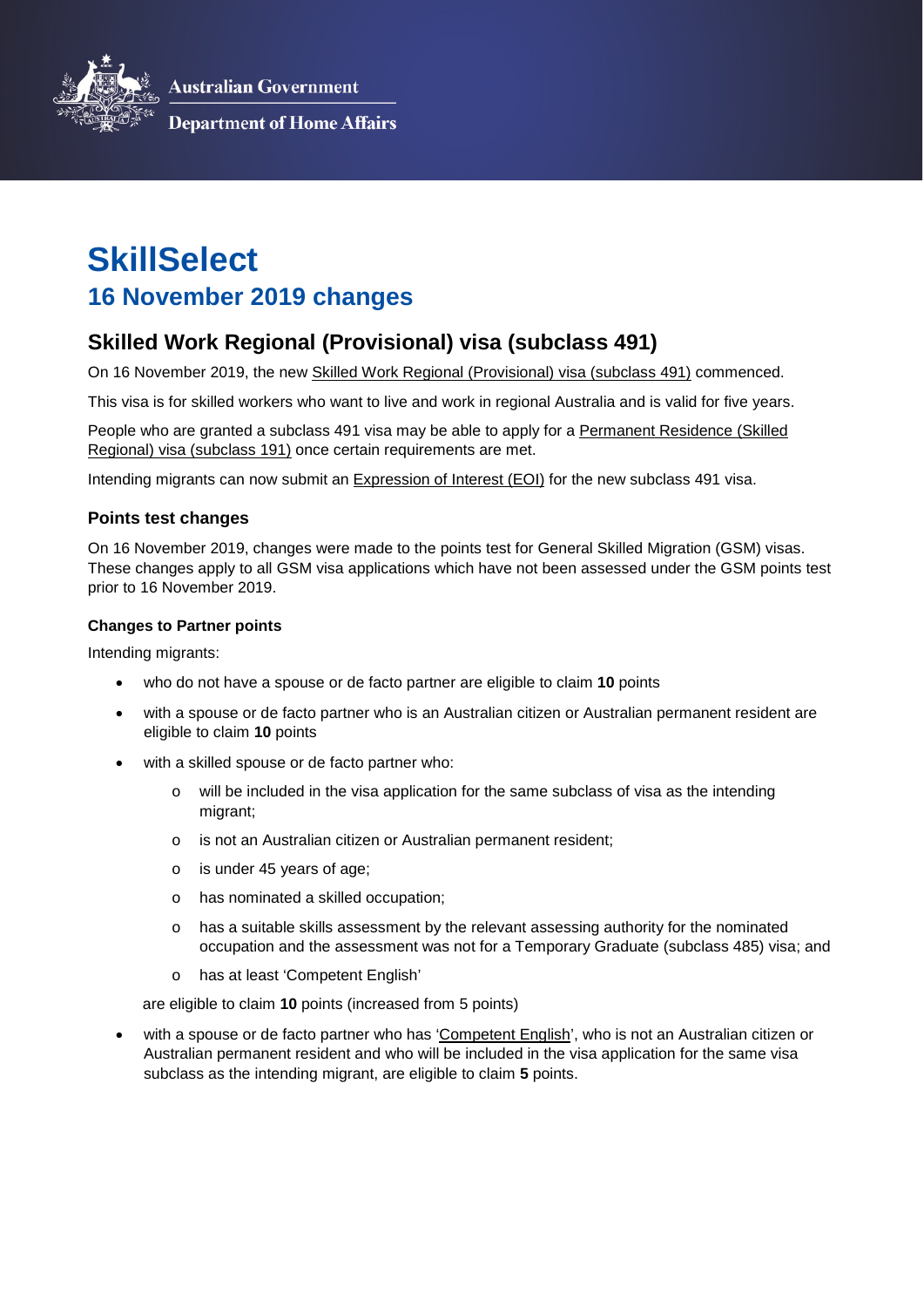**Australian Government** 



**Department of Home Affairs** 

# **SkillSelect 16 November 2019 changes**

# **Skilled Work Regional (Provisional) visa (subclass 491)**

On 16 November 2019, the new [Skilled Work Regional \(Provisional\) visa \(subclass 491\)](https://immi.homeaffairs.gov.au/visas/getting-a-visa/visa-listing/skilled-work-regional-provisional-491/application) commenced.

This visa is for skilled workers who want to live and work in regional Australia and is valid for five years.

People who are granted a subclass 491 visa may be able to apply for a Permanent Residence (Skilled [Regional\) visa \(subclass 191\)](https://immi.homeaffairs.gov.au/visas/getting-a-visa/visa-listing/skilled-regional-191) once certain requirements are met.

Intending migrants can now submit an [Expression of Interest \(EOI\) f](https://immi.homeaffairs.gov.au/visas/working-in-australia/skillselect/make-an-expression-of-interest)or the new subclass 491 visa.

#### **Points test changes**

On 16 November 2019, changes were made to the points test for General Skilled Migration (GSM) visas. These changes apply to all GSM visa applications which have not been assessed under the GSM points test prior to 16 November 2019.

#### **Changes to Partner points**

Intending migrants:

- who do not have a spouse or de facto partner are eligible to claim **10** points
- with a spouse or de facto partner who is an Australian citizen or Australian permanent resident are eligible to claim **10** points
- with a skilled spouse or de facto partner who:
	- o will be included in the visa application for the same subclass of visa as the intending migrant;
	- o is not an Australian citizen or Australian permanent resident;
	- o is under 45 years of age;
	- o has nominated a skilled occupation;
	- $\circ$  has a suitable skills assessment by the relevant assessing authority for the nominated occupation and the assessment was not for a Temporary Graduate (subclass 485) visa; and
	- o has at least 'Competent English'

are eligible to claim **10** points (increased from 5 points)

 with a spouse or de facto partner who has ['Competent English',](https://immi.homeaffairs.gov.au/help-support/meeting-our-requirements/english-language/competent-english) who is not an Australian citizen or Australian permanent resident and who will be included in the visa application for the same visa subclass as the intending migrant, are eligible to claim **5** points.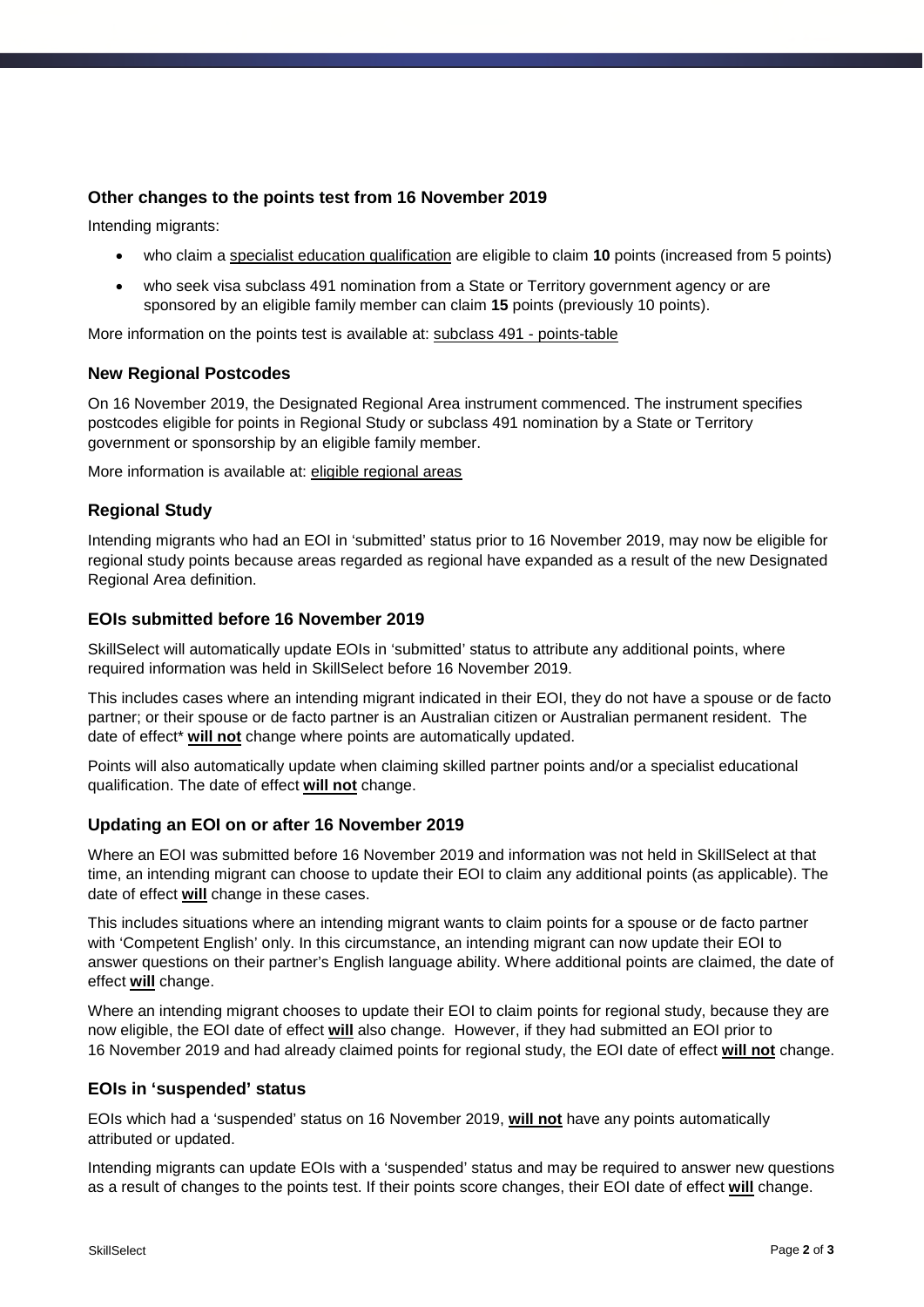### **Other changes to the points test from 16 November 2019**

Intending migrants:

- who claim a [specialist education qualification](https://immi.homeaffairs.gov.au/visas/getting-a-visa/visa-listing/skilled-work-regional-provisional-491/points-table#content-index-5) are eligible to claim **10** points (increased from 5 points)
- who seek visa subclass 491 nomination from a State or Territory government agency or are sponsored by an eligible family member can claim **15** points (previously 10 points).

More information on the points test is available at: [subclass 491 - points-table](https://immi.homeaffairs.gov.au/visas/getting-a-visa/visa-listing/skilled-work-regional-provisional-491/points-table)

#### **New Regional Postcodes**

On 16 November 2019, the Designated Regional Area instrument commenced. The instrument specifies postcodes eligible for points in Regional Study or subclass 491 nomination by a State or Territory government or sponsorship by an eligible family member.

More information is available at: [eligible regional areas](https://immi.homeaffairs.gov.au/visas/working-in-australia/regional-migration/eligible-regional-areas)

# **Regional Study**

Intending migrants who had an EOI in 'submitted' status prior to 16 November 2019, may now be eligible for regional study points because areas regarded as regional have expanded as a result of the new Designated Regional Area definition.

#### **EOIs submitted before 16 November 2019**

SkillSelect will automatically update EOIs in 'submitted' status to attribute any additional points, where required information was held in SkillSelect before 16 November 2019.

This includes cases where an intending migrant indicated in their EOI, they do not have a spouse or de facto partner; or their spouse or de facto partner is an Australian citizen or Australian permanent resident. The date of effect\* **will not** change where points are automatically updated.

Points will also automatically update when claiming skilled partner points and/or a specialist educational qualification. The date of effect **will not** change.

#### **Updating an EOI on or after 16 November 2019**

Where an EOI was submitted before 16 November 2019 and information was not held in SkillSelect at that time, an intending migrant can choose to update their EOI to claim any additional points (as applicable). The date of effect **will** change in these cases.

This includes situations where an intending migrant wants to claim points for a spouse or de facto partner with 'Competent English' only. In this circumstance, an intending migrant can now update their EOI to answer questions on their partner's English language ability. Where additional points are claimed, the date of effect **will** change.

Where an intending migrant chooses to update their EOI to claim points for regional study, because they are now eligible, the EOI date of effect **will** also change. However, if they had submitted an EOI prior to 16 November 2019 and had already claimed points for regional study, the EOI date of effect **will not** change.

#### **EOIs in 'suspended' status**

EOIs which had a 'suspended' status on 16 November 2019, **will not** have any points automatically attributed or updated.

Intending migrants can update EOIs with a 'suspended' status and may be required to answer new questions as a result of changes to the points test. If their points score changes, their EOI date of effect **will** change.